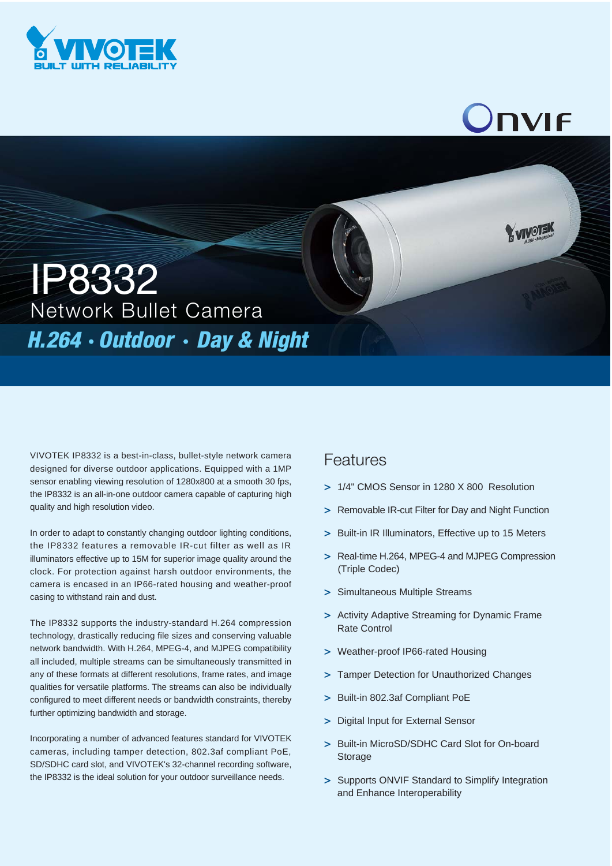

## **NVIF**

VOTEN

Network Bullet Camera IP8332 **H.264 · Outdoor · Day & Night** 

VIVOTEK IP8332 is a best-in-class, bullet-style network camera designed for diverse outdoor applications. Equipped with a 1MP sensor enabling viewing resolution of 1280x800 at a smooth 30 fps, the IP8332 is an all-in-one outdoor camera capable of capturing high quality and high resolution video.

In order to adapt to constantly changing outdoor lighting conditions, the IP8332 features a removable IR-cut filter as well as IR illuminators effective up to 15M for superior image quality around the clock. For protection against harsh outdoor environments, the camera is encased in an IP66-rated housing and weather-proof casing to withstand rain and dust.

The IP8332 supports the industry-standard H.264 compression technology, drastically reducing file sizes and conserving valuable network bandwidth. With H.264, MPEG-4, and MJPEG compatibility all included, multiple streams can be simultaneously transmitted in any of these formats at different resolutions, frame rates, and image qualities for versatile platforms. The streams can also be individually configured to meet different needs or bandwidth constraints, thereby further optimizing bandwidth and storage.

Incorporating a number of advanced features standard for VIVOTEK cameras, including tamper detection, 802.3af compliant PoE, SD/SDHC card slot, and VIVOTEK's 32-channel recording software, the IP8332 is the ideal solution for your outdoor surveillance needs.

## Features

- **>** 1/4" CMOS Sensor in 1280 X 800 Resolution
- **>** Removable IR-cut Filter for Day and Night Function
- **>** Built-in IR Illuminators, Effective up to 15 Meters
- **>** Real-time H.264, MPEG-4 and MJPEG Compression (Triple Codec)
- **>** Simultaneous Multiple Streams
- **>** Activity Adaptive Streaming for Dynamic Frame Rate Control
- **>** Weather-proof IP66-rated Housing
- **>** Tamper Detection for Unauthorized Changes
- **>** Built-in 802.3af Compliant PoE
- **>** Digital Input for External Sensor
- **>** Built-in MicroSD/SDHC Card Slot for On-board Storage
- **>** Supports ONVIF Standard to Simplify Integration and Enhance Interoperability